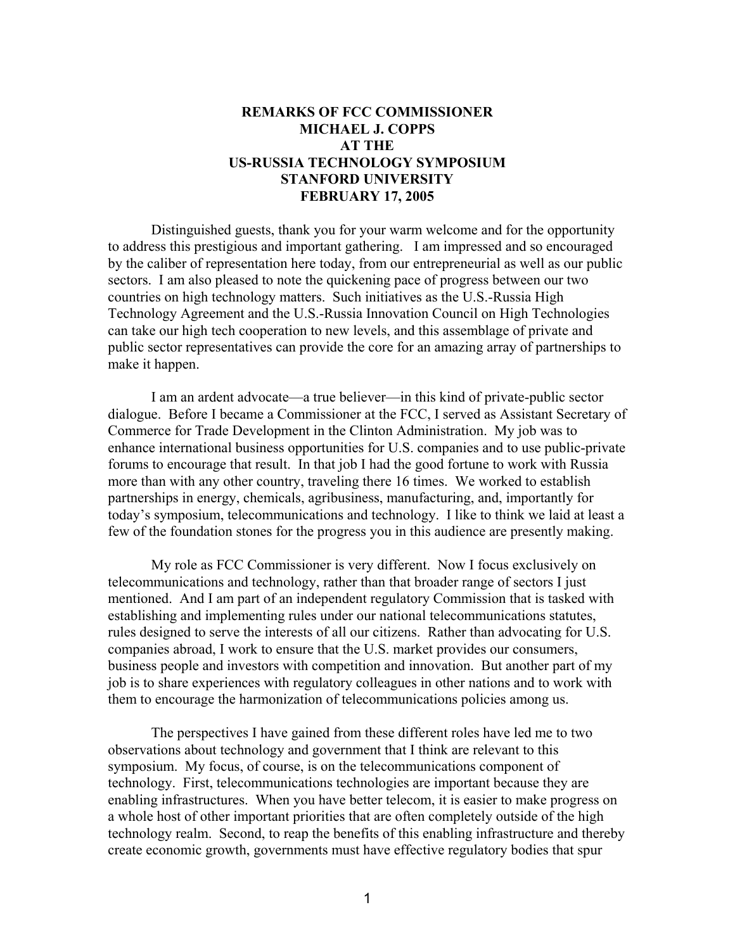## **REMARKS OF FCC COMMISSIONER MICHAEL J. COPPS AT THE US-RUSSIA TECHNOLOGY SYMPOSIUM STANFORD UNIVERSITY FEBRUARY 17, 2005**

Distinguished guests, thank you for your warm welcome and for the opportunity to address this prestigious and important gathering. I am impressed and so encouraged by the caliber of representation here today, from our entrepreneurial as well as our public sectors. I am also pleased to note the quickening pace of progress between our two countries on high technology matters. Such initiatives as the U.S.-Russia High Technology Agreement and the U.S.-Russia Innovation Council on High Technologies can take our high tech cooperation to new levels, and this assemblage of private and public sector representatives can provide the core for an amazing array of partnerships to make it happen.

I am an ardent advocate—a true believer—in this kind of private-public sector dialogue. Before I became a Commissioner at the FCC, I served as Assistant Secretary of Commerce for Trade Development in the Clinton Administration. My job was to enhance international business opportunities for U.S. companies and to use public-private forums to encourage that result. In that job I had the good fortune to work with Russia more than with any other country, traveling there 16 times. We worked to establish partnerships in energy, chemicals, agribusiness, manufacturing, and, importantly for today's symposium, telecommunications and technology. I like to think we laid at least a few of the foundation stones for the progress you in this audience are presently making.

My role as FCC Commissioner is very different. Now I focus exclusively on telecommunications and technology, rather than that broader range of sectors I just mentioned. And I am part of an independent regulatory Commission that is tasked with establishing and implementing rules under our national telecommunications statutes, rules designed to serve the interests of all our citizens. Rather than advocating for U.S. companies abroad, I work to ensure that the U.S. market provides our consumers, business people and investors with competition and innovation. But another part of my job is to share experiences with regulatory colleagues in other nations and to work with them to encourage the harmonization of telecommunications policies among us.

The perspectives I have gained from these different roles have led me to two observations about technology and government that I think are relevant to this symposium. My focus, of course, is on the telecommunications component of technology. First, telecommunications technologies are important because they are enabling infrastructures. When you have better telecom, it is easier to make progress on a whole host of other important priorities that are often completely outside of the high technology realm. Second, to reap the benefits of this enabling infrastructure and thereby create economic growth, governments must have effective regulatory bodies that spur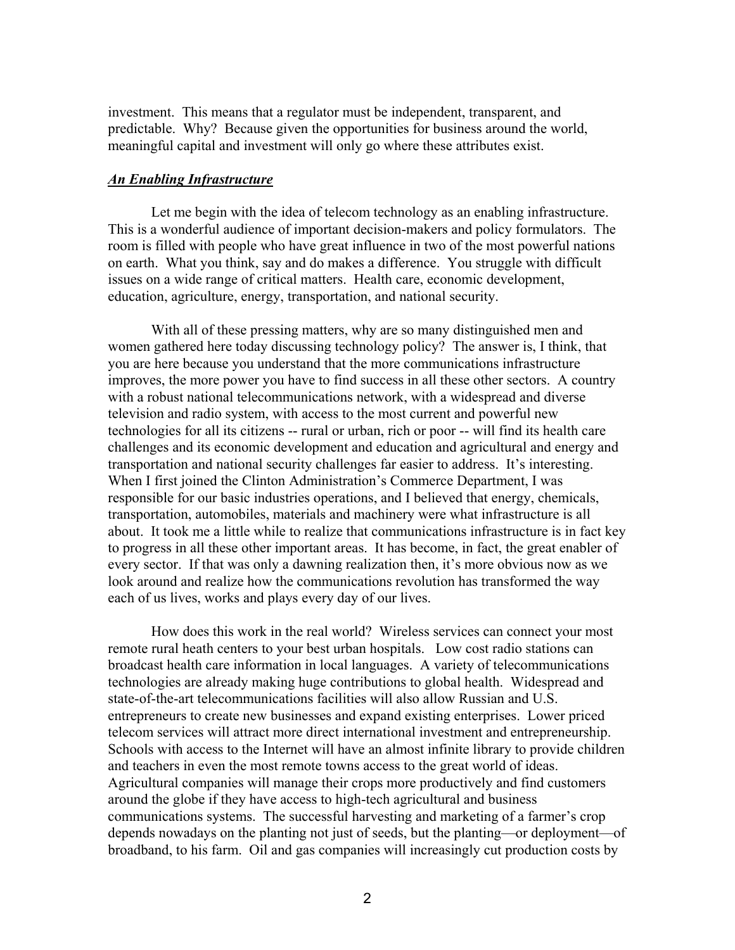investment. This means that a regulator must be independent, transparent, and predictable. Why? Because given the opportunities for business around the world, meaningful capital and investment will only go where these attributes exist.

## *An Enabling Infrastructure*

Let me begin with the idea of telecom technology as an enabling infrastructure. This is a wonderful audience of important decision-makers and policy formulators. The room is filled with people who have great influence in two of the most powerful nations on earth. What you think, say and do makes a difference. You struggle with difficult issues on a wide range of critical matters. Health care, economic development, education, agriculture, energy, transportation, and national security.

With all of these pressing matters, why are so many distinguished men and women gathered here today discussing technology policy? The answer is, I think, that you are here because you understand that the more communications infrastructure improves, the more power you have to find success in all these other sectors. A country with a robust national telecommunications network, with a widespread and diverse television and radio system, with access to the most current and powerful new technologies for all its citizens -- rural or urban, rich or poor -- will find its health care challenges and its economic development and education and agricultural and energy and transportation and national security challenges far easier to address. It's interesting. When I first joined the Clinton Administration's Commerce Department, I was responsible for our basic industries operations, and I believed that energy, chemicals, transportation, automobiles, materials and machinery were what infrastructure is all about. It took me a little while to realize that communications infrastructure is in fact key to progress in all these other important areas. It has become, in fact, the great enabler of every sector. If that was only a dawning realization then, it's more obvious now as we look around and realize how the communications revolution has transformed the way each of us lives, works and plays every day of our lives.

How does this work in the real world? Wireless services can connect your most remote rural heath centers to your best urban hospitals. Low cost radio stations can broadcast health care information in local languages. A variety of telecommunications technologies are already making huge contributions to global health. Widespread and state-of-the-art telecommunications facilities will also allow Russian and U.S. entrepreneurs to create new businesses and expand existing enterprises. Lower priced telecom services will attract more direct international investment and entrepreneurship. Schools with access to the Internet will have an almost infinite library to provide children and teachers in even the most remote towns access to the great world of ideas. Agricultural companies will manage their crops more productively and find customers around the globe if they have access to high-tech agricultural and business communications systems. The successful harvesting and marketing of a farmer's crop depends nowadays on the planting not just of seeds, but the planting—or deployment—of broadband, to his farm. Oil and gas companies will increasingly cut production costs by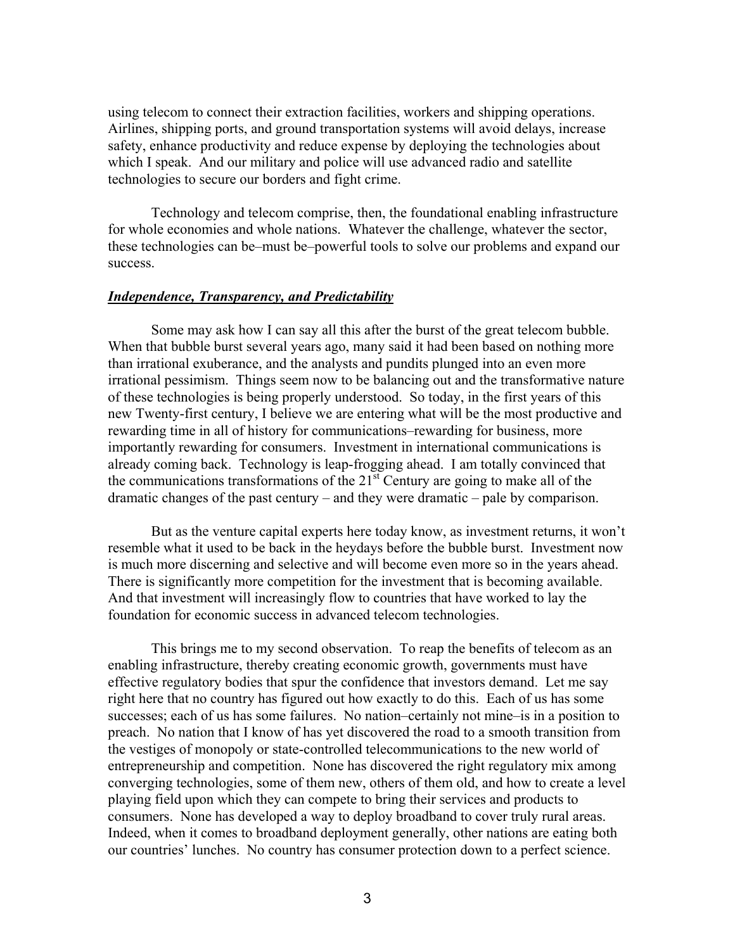using telecom to connect their extraction facilities, workers and shipping operations. Airlines, shipping ports, and ground transportation systems will avoid delays, increase safety, enhance productivity and reduce expense by deploying the technologies about which I speak. And our military and police will use advanced radio and satellite technologies to secure our borders and fight crime.

Technology and telecom comprise, then, the foundational enabling infrastructure for whole economies and whole nations. Whatever the challenge, whatever the sector, these technologies can be–must be–powerful tools to solve our problems and expand our success.

## *Independence, Transparency, and Predictability*

Some may ask how I can say all this after the burst of the great telecom bubble. When that bubble burst several years ago, many said it had been based on nothing more than irrational exuberance, and the analysts and pundits plunged into an even more irrational pessimism. Things seem now to be balancing out and the transformative nature of these technologies is being properly understood. So today, in the first years of this new Twenty-first century, I believe we are entering what will be the most productive and rewarding time in all of history for communications–rewarding for business, more importantly rewarding for consumers. Investment in international communications is already coming back. Technology is leap-frogging ahead. I am totally convinced that the communications transformations of the  $21<sup>st</sup>$  Century are going to make all of the dramatic changes of the past century – and they were dramatic – pale by comparison.

But as the venture capital experts here today know, as investment returns, it won't resemble what it used to be back in the heydays before the bubble burst. Investment now is much more discerning and selective and will become even more so in the years ahead. There is significantly more competition for the investment that is becoming available. And that investment will increasingly flow to countries that have worked to lay the foundation for economic success in advanced telecom technologies.

This brings me to my second observation. To reap the benefits of telecom as an enabling infrastructure, thereby creating economic growth, governments must have effective regulatory bodies that spur the confidence that investors demand. Let me say right here that no country has figured out how exactly to do this. Each of us has some successes; each of us has some failures. No nation–certainly not mine–is in a position to preach. No nation that I know of has yet discovered the road to a smooth transition from the vestiges of monopoly or state-controlled telecommunications to the new world of entrepreneurship and competition. None has discovered the right regulatory mix among converging technologies, some of them new, others of them old, and how to create a level playing field upon which they can compete to bring their services and products to consumers. None has developed a way to deploy broadband to cover truly rural areas. Indeed, when it comes to broadband deployment generally, other nations are eating both our countries' lunches. No country has consumer protection down to a perfect science.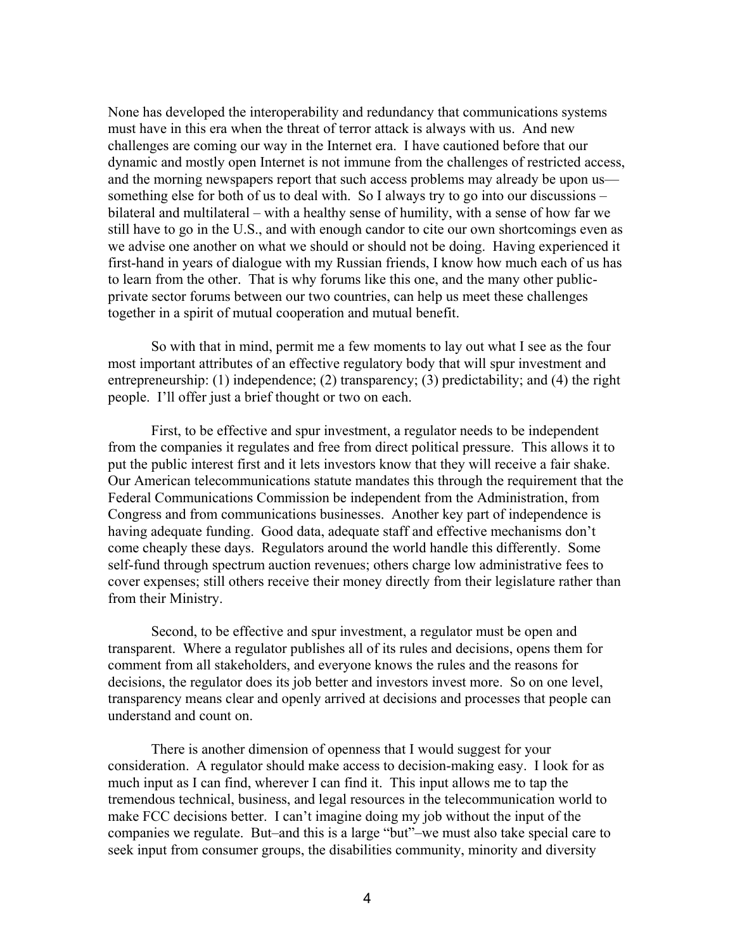None has developed the interoperability and redundancy that communications systems must have in this era when the threat of terror attack is always with us. And new challenges are coming our way in the Internet era. I have cautioned before that our dynamic and mostly open Internet is not immune from the challenges of restricted access, and the morning newspapers report that such access problems may already be upon us something else for both of us to deal with. So I always try to go into our discussions – bilateral and multilateral – with a healthy sense of humility, with a sense of how far we still have to go in the U.S., and with enough candor to cite our own shortcomings even as we advise one another on what we should or should not be doing. Having experienced it first-hand in years of dialogue with my Russian friends, I know how much each of us has to learn from the other. That is why forums like this one, and the many other publicprivate sector forums between our two countries, can help us meet these challenges together in a spirit of mutual cooperation and mutual benefit.

So with that in mind, permit me a few moments to lay out what I see as the four most important attributes of an effective regulatory body that will spur investment and entrepreneurship: (1) independence; (2) transparency; (3) predictability; and (4) the right people. I'll offer just a brief thought or two on each.

First, to be effective and spur investment, a regulator needs to be independent from the companies it regulates and free from direct political pressure. This allows it to put the public interest first and it lets investors know that they will receive a fair shake. Our American telecommunications statute mandates this through the requirement that the Federal Communications Commission be independent from the Administration, from Congress and from communications businesses. Another key part of independence is having adequate funding. Good data, adequate staff and effective mechanisms don't come cheaply these days. Regulators around the world handle this differently. Some self-fund through spectrum auction revenues; others charge low administrative fees to cover expenses; still others receive their money directly from their legislature rather than from their Ministry.

Second, to be effective and spur investment, a regulator must be open and transparent. Where a regulator publishes all of its rules and decisions, opens them for comment from all stakeholders, and everyone knows the rules and the reasons for decisions, the regulator does its job better and investors invest more. So on one level, transparency means clear and openly arrived at decisions and processes that people can understand and count on.

There is another dimension of openness that I would suggest for your consideration. A regulator should make access to decision-making easy. I look for as much input as I can find, wherever I can find it. This input allows me to tap the tremendous technical, business, and legal resources in the telecommunication world to make FCC decisions better. I can't imagine doing my job without the input of the companies we regulate. But–and this is a large "but"–we must also take special care to seek input from consumer groups, the disabilities community, minority and diversity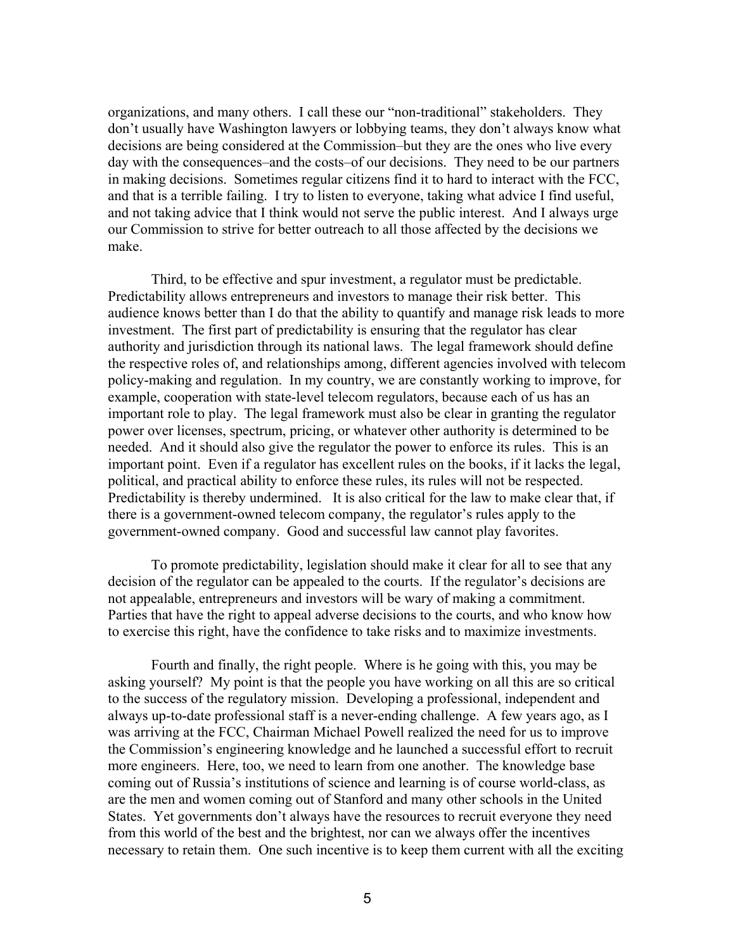organizations, and many others. I call these our "non-traditional" stakeholders. They don't usually have Washington lawyers or lobbying teams, they don't always know what decisions are being considered at the Commission–but they are the ones who live every day with the consequences–and the costs–of our decisions. They need to be our partners in making decisions. Sometimes regular citizens find it to hard to interact with the FCC, and that is a terrible failing. I try to listen to everyone, taking what advice I find useful, and not taking advice that I think would not serve the public interest. And I always urge our Commission to strive for better outreach to all those affected by the decisions we make.

Third, to be effective and spur investment, a regulator must be predictable. Predictability allows entrepreneurs and investors to manage their risk better. This audience knows better than I do that the ability to quantify and manage risk leads to more investment. The first part of predictability is ensuring that the regulator has clear authority and jurisdiction through its national laws. The legal framework should define the respective roles of, and relationships among, different agencies involved with telecom policy-making and regulation. In my country, we are constantly working to improve, for example, cooperation with state-level telecom regulators, because each of us has an important role to play. The legal framework must also be clear in granting the regulator power over licenses, spectrum, pricing, or whatever other authority is determined to be needed. And it should also give the regulator the power to enforce its rules. This is an important point. Even if a regulator has excellent rules on the books, if it lacks the legal, political, and practical ability to enforce these rules, its rules will not be respected. Predictability is thereby undermined. It is also critical for the law to make clear that, if there is a government-owned telecom company, the regulator's rules apply to the government-owned company. Good and successful law cannot play favorites.

To promote predictability, legislation should make it clear for all to see that any decision of the regulator can be appealed to the courts. If the regulator's decisions are not appealable, entrepreneurs and investors will be wary of making a commitment. Parties that have the right to appeal adverse decisions to the courts, and who know how to exercise this right, have the confidence to take risks and to maximize investments.

Fourth and finally, the right people. Where is he going with this, you may be asking yourself? My point is that the people you have working on all this are so critical to the success of the regulatory mission. Developing a professional, independent and always up-to-date professional staff is a never-ending challenge. A few years ago, as I was arriving at the FCC, Chairman Michael Powell realized the need for us to improve the Commission's engineering knowledge and he launched a successful effort to recruit more engineers. Here, too, we need to learn from one another. The knowledge base coming out of Russia's institutions of science and learning is of course world-class, as are the men and women coming out of Stanford and many other schools in the United States. Yet governments don't always have the resources to recruit everyone they need from this world of the best and the brightest, nor can we always offer the incentives necessary to retain them. One such incentive is to keep them current with all the exciting